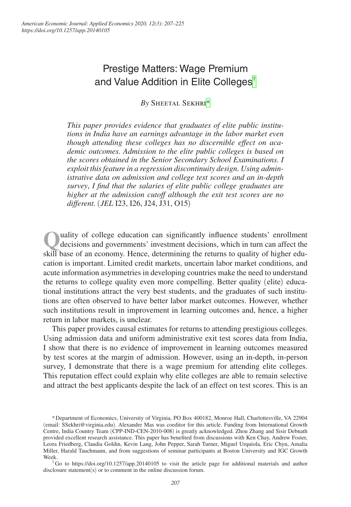# Prestige Matters: Wage Premium and Value Addition in Elite Colleges[†](#page-0-0)

*By* Sheetal Sekhri[\\*](#page-0-1)

*This paper provides evidence that graduates of elite public institutions in India have an earnings advantage in the labor market even though attending these colleges has no discernible effect on academic outcomes. Admission to the elite public colleges is based on the scores obtained in the Senior Secondary School Examinations. I exploit this feature in a regression discontinuity design. Using administrative data on admission and college test scores and an in-depth survey*, *I find that the salaries of elite public college graduates are higher at the admission cutoff although the exit test scores are no different.* (*JEL* I23, I26, J24, J31, O15)

uality of college education can significantly influence students' enrollment decisions and governments' investment decisions, which in turn can affect the skill base of an economy. Hence, determining the returns to quality of higher education is important. Limited credit markets, uncertain labor market conditions, and acute information asymmetries in developing countries make the need to understand the returns to college quality even more compelling. Better quality (elite) educational institutions attract the very best students, and the graduates of such institutions are often observed to have better labor market outcomes. However, whether such institutions result in improvement in learning outcomes and, hence, a higher return in labor markets, is unclear.

This paper provides causal estimates for returns to attending prestigious colleges. Using admission data and uniform administrative exit test scores data from India, I show that there is no evidence of improvement in learning outcomes measured by test scores at the margin of admission. However, using an in-depth, in-person survey, I demonstrate that there is a wage premium for attending elite colleges. This reputation effect could explain why elite colleges are able to remain selective and attract the best applicants despite the lack of an effect on test scores. This is an

<span id="page-0-0"></span>†Go to <https://doi.org/10.1257/app.20140105>to visit the article page for additional materials and author disclosure statement(s) or to comment in the online discussion forum.

<span id="page-0-1"></span><sup>\*</sup>Department of Economics, University of Virginia, PO Box 400182, Monroe Hall, Charlottesville, VA 22904 (email: [SSekhri@virginia.edu](mailto:SSekhri@virginia.edu)). Alexandre Mas was coeditor for this article. Funding from International Growth Centre, India Country Team (CPP-IND-CEN-2010-008) is greatly acknowledged. Zhou Zhang and Sisir Debnath provided excellent research assistance. This paper has benefited from discussions with Ken Chay, Andrew Foster, Leora Friedberg, Claudia Goldin, Kevin Lang, John Pepper, Sarah Turner, Miguel Urquiola, Eric Chyn, Amalia Miller, Harald Tauchmann, and from suggestions of seminar participants at Boston University and IGC Growth Week.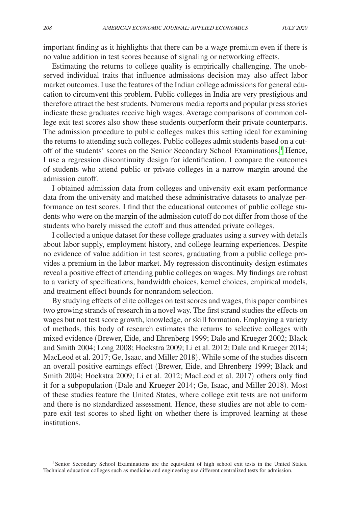important finding as it highlights that there can be a wage premium even if there is no value addition in test scores because of signaling or networking effects.

Estimating the returns to college quality is empirically challenging. The unobserved individual traits that influence admissions decision may also affect labor market outcomes. I use the features of the Indian college admissions for general education to circumvent this problem. Public colleges in India are very prestigious and therefore attract the best students. Numerous media reports and popular press stories indicate these graduates receive high wages. Average comparisons of common college exit test scores also show these students outperform their private counterparts. The admission procedure to public colleges makes this setting ideal for examining the returns to attending such colleges. Public colleges admit students based on a cut-off of the students' scores on the Senior Secondary School Examinations.<sup>[1](#page-1-0)</sup> Hence, I use a regression discontinuity design for identification. I compare the outcomes of students who attend public or private colleges in a narrow margin around the admission cutoff.

I obtained admission data from colleges and university exit exam performance data from the university and matched these administrative datasets to analyze performance on test scores. I find that the educational outcomes of public college students who were on the margin of the admission cutoff do not differ from those of the students who barely missed the cutoff and thus attended private colleges.

I collected a unique dataset for these college graduates using a survey with details about labor supply, employment history, and college learning experiences. Despite no evidence of value addition in test scores, graduating from a public college provides a premium in the labor market. My regression discontinuity design estimates reveal a positive effect of attending public colleges on wages. My findings are robust to a variety of specifications, bandwidth choices, kernel choices, empirical models, and treatment effect bounds for nonrandom selection.

By studying effects of elite colleges on test scores and wages, this paper combines two growing strands of research in a novel way. The first strand studies the effects on wages but not test score growth, knowledge, or skill formation. Employing a variety of methods, this body of research estimates the returns to selective colleges with mixed evidence (Brewer, Eide, and Ehrenberg 1999; Dale and Krueger 2002; Black and Smith 2004; Long 2008; Hoekstra 2009; Li et al. 2012; Dale and Krueger 2014; MacLeod et al. 2017; Ge, Isaac, and Miller 2018). While some of the studies discern an overall positive earnings effect (Brewer, Eide, and Ehrenberg 1999; Black and Smith 2004; Hoekstra 2009; Li et al. 2012; MacLeod et al. 2017) others only find it for a subpopulation (Dale and Krueger 2014; Ge, Isaac, and Miller 2018). Most of these studies feature the United States, where college exit tests are not uniform and there is no standardized assessment. Hence, these studies are not able to compare exit test scores to shed light on whether there is improved learning at these institutions.

<span id="page-1-0"></span><sup>1</sup>Senior Secondary School Examinations are the equivalent of high school exit tests in the United States. Technical education colleges such as medicine and engineering use different centralized tests for admission.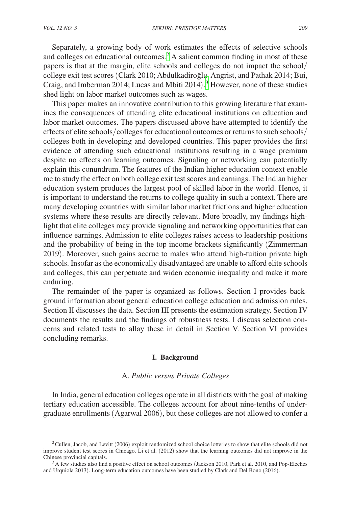Separately, a growing body of work estimates the effects of selective schools and colleges on educational outcomes.<sup>2</sup> A salient common finding in most of these papers is that at the margin, elite schools and colleges do not impact the school/ college exit test scores (Clark 2010; Abdulkadiroğlu, Angrist, and Pathak 2014; Bui, Craig, and Imberman 2014; Lucas and Mbiti 2014). [3](#page-2-1) However, none of these studies shed light on labor market outcomes such as wages.

This paper makes an innovative contribution to this growing literature that examines the consequences of attending elite educational institutions on education and labor market outcomes. The papers discussed above have attempted to identify the effects of elite schools/colleges for educational outcomes or returns to such schools/ colleges both in developing and developed countries. This paper provides the first evidence of attending such educational institutions resulting in a wage premium despite no effects on learning outcomes. Signaling or networking can potentially explain this conundrum. The features of the Indian higher education context enable me to study the effect on both college exit test scores and earnings. The Indian higher education system produces the largest pool of skilled labor in the world. Hence, it is important to understand the returns to college quality in such a context. There are many developing countries with similar labor market frictions and higher education systems where these results are directly relevant. More broadly, my findings highlight that elite colleges may provide signaling and networking opportunities that can influence earnings. Admission to elite colleges raises access to leadership positions and the probability of being in the top income brackets significantly (Zimmerman 2019). Moreover, such gains accrue to males who attend high-tuition private high schools. Insofar as the economically disadvantaged are unable to afford elite schools and colleges, this can perpetuate and widen economic inequality and make it more enduring.

The remainder of the paper is organized as follows. Section I provides background information about general education college education and admission rules. Section II discusses the data. Section III presents the estimation strategy. Section IV documents the results and the findings of robustness tests. I discuss selection concerns and related tests to allay these in detail in Section V. Section VI provides concluding remarks.

#### **I. Background**

#### A. *Public versus Private Colleges*

In India, general education colleges operate in all districts with the goal of making tertiary education accessible. The colleges account for about nine-tenths of undergraduate enrollments (Agarwal 2006), but these colleges are not allowed to confer a

<span id="page-2-0"></span> $2$ Cullen, Jacob, and Levitt (2006) exploit randomized school choice lotteries to show that elite schools did not improve student test scores in Chicago. Li et al. (2012) show that the learning outcomes did not improve in the

<span id="page-2-1"></span> $3A$  few studies also find a positive effect on school outcomes (Jackson 2010, Park et al. 2010, and Pop-Eleches and Urquiola 2013). Long-term education outcomes have been studied by Clark and Del Bono (2016).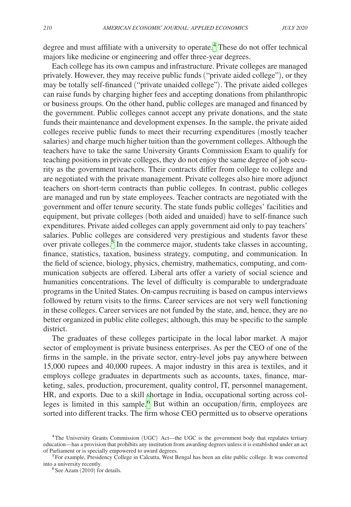degree and must affiliate with a university to operate.<sup>[4](#page-3-0)</sup> These do not offer technical majors like medicine or engineering and offer three-year degrees.

Each college has its own campus and infrastructure. Private colleges are managed privately. However, they may receive public funds ("private aided college"), or they may be totally self-financed ("private unaided college"). The private aided colleges can raise funds by charging higher fees and accepting donations from philanthropic or business groups. On the other hand, public colleges are managed and financed by the government. Public colleges cannot accept any private donations, and the state funds their maintenance and development expenses. In the sample, the private aided colleges receive public funds to meet their recurring expenditures (mostly teacher salaries) and charge much higher tuition than the government colleges. Although the teachers have to take the same University Grants Commission Exam to qualify for teaching positions in private colleges, they do not enjoy the same degree of job security as the government teachers. Their contracts differ from college to college and are negotiated with the private management. Private colleges also hire more adjunct teachers on short-term contracts than public colleges. In contrast, public colleges are managed and run by state employees. Teacher contracts are negotiated with the government and offer tenure security. The state funds public colleges' facilities and equipment, but private colleges (both aided and unaided) have to self-finance such expenditures. Private aided colleges can apply government aid only to pay teachers' salaries. Public colleges are considered very prestigious and students favor these over private colleges.<sup>[5](#page-3-1)</sup> In the commerce major, students take classes in accounting, finance, statistics, taxation, business strategy, computing, and communication. In the field of science, biology, physics, chemistry, mathematics, computing, and communication subjects are offered. Liberal arts offer a variety of social science and humanities concentrations. The level of difficulty is comparable to undergraduate programs in the United States. On-campus recruiting is based on campus interviews followed by return visits to the firms. Career services are not very well functioning in these colleges. Career services are not funded by the state, and, hence, they are no better organized in public elite colleges; although, this may be specific to the sample district.

The graduates of these colleges participate in the local labor market. A major sector of employment is private business enterprises. As per the CEO of one of the firms in the sample, in the private sector, entry-level jobs pay anywhere between 15,000 rupees and 40,000 rupees. A major industry in this area is textiles, and it employs college graduates in departments such as accounts, taxes, finance, marketing, sales, production, procurement, quality control, IT, personnel management, HR, and exports. Due to a skill shortage in India, occupational sorting across col-leges is limited in this sample.<sup>[6](#page-3-2)</sup> But within an occupation/firm, employees are sorted into different tracks. The firm whose CEO permitted us to observe operations

<span id="page-3-0"></span><sup>4</sup>The University Grants Commission (UGC) Act—the UGC is the government body that regulates tertiary education—has a provision that prohibits any institution from awarding degrees unless it is established under an act

of Parliament or is specially empowered to award degrees.<br><sup>5</sup>For example, Presidency College in Calcutta, West Bengal has been an elite public college. It was converted into a university recently.

<span id="page-3-2"></span><span id="page-3-1"></span> $6$ See Azam (2010) for details.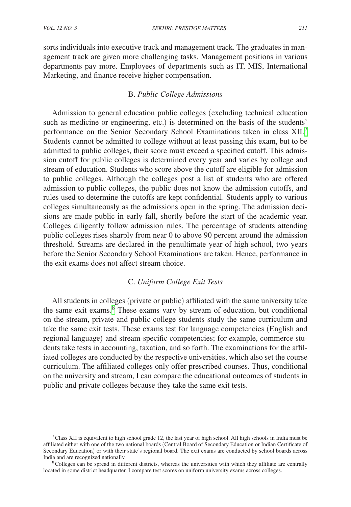sorts individuals into executive track and management track. The graduates in management track are given more challenging tasks. Management positions in various departments pay more. Employees of departments such as IT, MIS, International Marketing, and finance receive higher compensation.

#### B. *Public College Admissions*

Admission to general education public colleges (excluding technical education such as medicine or engineering, etc.) is determined on the basis of the students' performance on the Senior Secondary School Examinations taken in class XII.[7](#page-4-0) Students cannot be admitted to college without at least passing this exam, but to be admitted to public colleges, their score must exceed a specified cutoff. This admission cutoff for public colleges is determined every year and varies by college and stream of education. Students who score above the cutoff are eligible for admission to public colleges. Although the colleges post a list of students who are offered admission to public colleges, the public does not know the admission cutoffs, and rules used to determine the cutoffs are kept confidential. Students apply to various colleges simultaneously as the admissions open in the spring. The admission decisions are made public in early fall, shortly before the start of the academic year. Colleges diligently follow admission rules. The percentage of students attending public colleges rises sharply from near 0 to above 90 percent around the admission threshold. Streams are declared in the penultimate year of high school, two years before the Senior Secondary School Examinations are taken. Hence, performance in the exit exams does not affect stream choice.

# C. *Uniform College Exit Tests*

All students in colleges (private or public) affiliated with the same university take the same exit exams.[8](#page-4-1) These exams vary by stream of education, but conditional on the stream, private and public college students study the same curriculum and take the same exit tests. These exams test for language competencies (English and regional language) and stream-specific competencies; for example, commerce students take tests in accounting, taxation, and so forth. The examinations for the affiliated colleges are conducted by the respective universities, which also set the course curriculum. The affiliated colleges only offer prescribed courses. Thus, conditional on the university and stream, I can compare the educational outcomes of students in public and private colleges because they take the same exit tests.

<span id="page-4-0"></span> $^7$ Class XII is equivalent to high school grade 12, the last year of high school. All high schools in India must be affiliated either with one of the two national boards (Central Board of Secondary Education or Indian Certificate of Secondary Education) or with their state's regional board. The exit exams are conducted by school boards across India and are recognized nationally.

<span id="page-4-1"></span> ${}^8$ Colleges can be spread in different districts, whereas the universities with which they affiliate are centrally located in some district headquarter. I compare test scores on uniform university exams across colleges.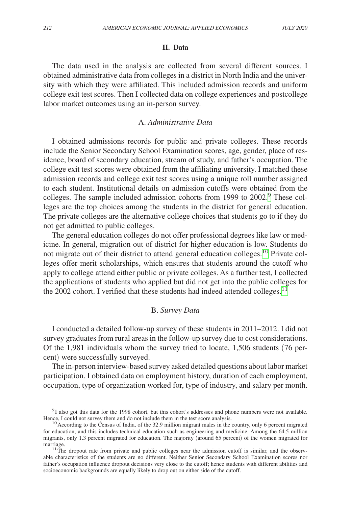#### **II. Data**

The data used in the analysis are collected from several different sources. I obtained administrative data from colleges in a district in North India and the university with which they were affiliated. This included admission records and uniform college exit test scores. Then I collected data on college experiences and postcollege labor market outcomes using an in-person survey.

# A. *Administrative Data*

I obtained admissions records for public and private colleges. These records include the Senior Secondary School Examination scores, age, gender, place of residence, board of secondary education, stream of study, and father's occupation. The college exit test scores were obtained from the affiliating university. I matched these admission records and college exit test scores using a unique roll number assigned to each student. Institutional details on admission cutoffs were obtained from the colleges. The sample included admission cohorts from 1999 to 2002.<sup>9</sup> These colleges are the top choices among the students in the district for general education. The private colleges are the alternative college choices that students go to if they do not get admitted to public colleges.

The general education colleges do not offer professional degrees like law or medicine. In general, migration out of district for higher education is low. Students do not migrate out of their district to attend general education colleges[.10](#page-5-1) Private colleges offer merit scholarships, which ensures that students around the cutoff who apply to college attend either public or private colleges. As a further test, I collected the applications of students who applied but did not get into the public colleges for the 2002 cohort. I verified that these students had indeed attended colleges.<sup>[11](#page-5-2)</sup>

# B. *Survey Data*

I conducted a detailed follow-up survey of these students in 2011–2012. I did not survey graduates from rural areas in the follow-up survey due to cost considerations. Of the 1,981 individuals whom the survey tried to locate, 1,506 students (76 percent) were successfully surveyed.

The in-person interview-based survey asked detailed questions about labor market participation. I obtained data on employment history, duration of each employment, occupation, type of organization worked for, type of industry, and salary per month.

<span id="page-5-0"></span><sup>&</sup>lt;sup>9</sup>I also got this data for the 1998 cohort, but this cohort's addresses and phone numbers were not available. Hence, I could not survey them and do not include them in the test score analysis.

<span id="page-5-1"></span> $10$  According to the Census of India, of the 32.9 million migrant males in the country, only 6 percent migrated for education, and this includes technical education such as engineering and medicine. Among the 64.5 million migrants, only 1.3 percent migrated for education. The majority (around 65 percent) of the women migrated for

<span id="page-5-2"></span> $11$ The dropout rate from private and public colleges near the admission cutoff is similar, and the observable characteristics of the students are no different. Neither Senior Secondary School Examination scores nor father's occupation influence dropout decisions very close to the cutoff; hence students with different abilities and socioeconomic backgrounds are equally likely to drop out on either side of the cutoff.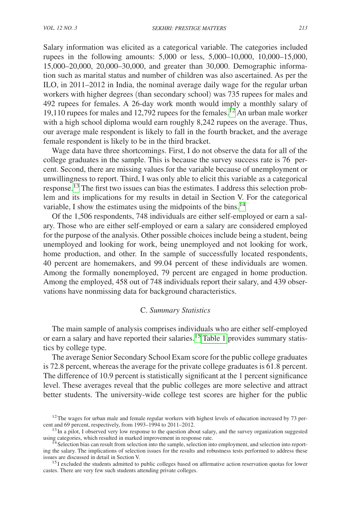Salary information was elicited as a categorical variable. The categories included rupees in the following amounts: 5,000 or less, 5,000–10,000, 10,000–15,000, 15,000–20,000, 20,000–30,000, and greater than 30,000. Demographic information such as marital status and number of children was also ascertained. As per the ILO, in 2011–2012 in India, the nominal average daily wage for the regular urban workers with higher degrees (than secondary school) was 735 rupees for males and 492 rupees for females. A 26-day work month would imply a monthly salary of 19,110 rupees for males and 12,792 rupees for the females.<sup>12</sup> An urban male worker with a high school diploma would earn roughly 8,242 rupees on the average. Thus, our average male respondent is likely to fall in the fourth bracket, and the average female respondent is likely to be in the third bracket.

Wage data have three shortcomings. First, I do not observe the data for all of the college graduates in the sample. This is because the survey success rate is 76 percent. Second, there are missing values for the variable because of unemployment or unwillingness to report. Third, I was only able to elicit this variable as a categorical response.[13](#page-6-1) The first two issues can bias the estimates. I address this selection problem and its implications for my results in detail in Section V. For the categorical variable, I show the estimates using the midpoints of the bins.<sup>[14](#page-6-2)</sup>

Of the 1,506 respondents, 748 individuals are either self-employed or earn a salary. Those who are either self-employed or earn a salary are considered employed for the purpose of the analysis. Other possible choices include being a student, being unemployed and looking for work, being unemployed and not looking for work, home production, and other. In the sample of successfully located respondents, 40 percent are homemakers, and 99.04 percent of these individuals are women. Among the formally nonemployed, 79 percent are engaged in home production. Among the employed, 458 out of 748 individuals report their salary, and 439 observations have nonmissing data for background characteristics.

## C. *Summary Statistics*

The main sample of analysis comprises individuals who are either self-employed or earn a salary and have reported their salaries.<sup>15</sup> [Table 1](#page-7-0) provides summary statistics by college type.

The average Senior Secondary School Exam score for the public college graduates is 72.8 percent, whereas the average for the private college graduates is 61.8 percent. The difference of 10.9 percent is statistically significant at the 1 percent significance level. These averages reveal that the public colleges are more selective and attract better students. The university-wide college test scores are higher for the public

<span id="page-6-0"></span><sup>&</sup>lt;sup>12</sup>The wages for urban male and female regular workers with highest levels of education increased by 73 per-<br>cent and 69 percent, respectively, from  $1993-1994$  to  $2011-2012$ .

<span id="page-6-1"></span><sup>&</sup>lt;sup>13</sup> In a pilot, I observed very low response to the question about salary, and the survey organization suggested using categories, which resulted in marked improvement in response rate.<br><sup>14</sup>Selection bias can result from selection into the sample, selection into employment, and selection into report-

<span id="page-6-2"></span>ing the salary. The implications of selection issues for the results and robustness tests performed to address these issues are discussed in detail in Section V.<br><sup>15</sup>I excluded the students admitted to public colleges based on affirmative action reservation quotas for lower

<span id="page-6-3"></span>castes. There are very few such students attending private colleges.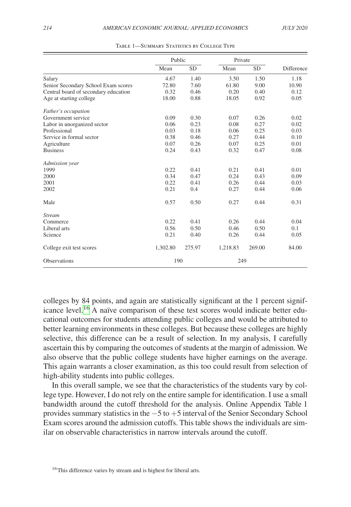<span id="page-7-0"></span>

|                                      | Public   |           | Private  |           |            |
|--------------------------------------|----------|-----------|----------|-----------|------------|
|                                      | Mean     | <b>SD</b> | Mean     | <b>SD</b> | Difference |
| Salary                               | 4.67     | 1.40      | 3.50     | 1.50      | 1.18       |
| Senior Secondary School Exam scores  | 72.80    | 7.60      | 61.80    | 9.00      | 10.90      |
| Central board of secondary education | 0.32     | 0.46      | 0.20     | 0.40      | 0.12       |
| Age at starting college              | 18.00    | 0.88      | 18.05    | 0.92      | 0.05       |
| Father's occupation                  |          |           |          |           |            |
| Government service                   | 0.09     | 0.30      | 0.07     | 0.26      | 0.02       |
| Labor in unorganized sector          | 0.06     | 0.23      | 0.08     | 0.27      | 0.02       |
| Professional                         | 0.03     | 0.18      | 0.06     | 0.25      | 0.03       |
| Service in formal sector             | 0.38     | 0.46      | 0.27     | 0.44      | 0.10       |
| Agriculture                          | 0.07     | 0.26      | 0.07     | 0.25      | 0.01       |
| <b>Business</b>                      | 0.24     | 0.43      | 0.32     | 0.47      | 0.08       |
| Admission year                       |          |           |          |           |            |
| 1999                                 | 0.22     | 0.41      | 0.21     | 0.41      | 0.01       |
| 2000                                 | 0.34     | 0.47      | 0.24     | 0.43      | 0.09       |
| 2001                                 | 0.22     | 0.41      | 0.26     | 0.44      | 0.03       |
| 2002                                 | 0.21     | 0.4       | 0.27     | 0.44      | 0.06       |
| Male                                 | 0.57     | 0.50      | 0.27     | 0.44      | 0.31       |
| <b>Stream</b>                        |          |           |          |           |            |
| Commerce                             | 0.22     | 0.41      | 0.26     | 0.44      | 0.04       |
| Liberal arts                         | 0.56     | 0.50      | 0.46     | 0.50      | 0.1        |
| Science                              | 0.21     | 0.40      | 0.26     | 0.44      | 0.05       |
| College exit test scores             | 1,302.80 | 275.97    | 1,218.83 | 269.00    | 84.00      |
| Observations                         | 190      |           | 249      |           |            |

Table 1—Summary Statistics by College Type

colleges by 84 points, and again are statistically significant at the 1 percent signif-icance level.<sup>[16](#page-7-1)</sup> A naïve comparison of these test scores would indicate better educational outcomes for students attending public colleges and would be attributed to better learning environments in these colleges. But because these colleges are highly selective, this difference can be a result of selection. In my analysis, I carefully ascertain this by comparing the outcomes of students at the margin of admission. We also observe that the public college students have higher earnings on the average. This again warrants a closer examination, as this too could result from selection of high-ability students into public colleges.

<span id="page-7-1"></span>In this overall sample, we see that the characteristics of the students vary by college type. However, I do not rely on the entire sample for identification. I use a small bandwidth around the cutoff threshold for the analysis. Online Appendix Table 1 provides summary statistics in the −5 to +5 interval of the Senior Secondary School Exam scores around the admission cutoffs. This table shows the individuals are similar on observable characteristics in narrow intervals around the cutoff.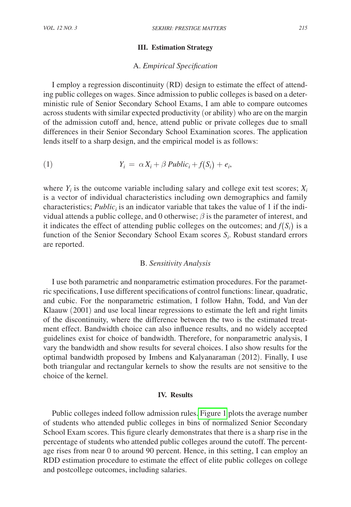#### **III. Estimation Strategy**

#### A. *Empirical Specification*

I employ a regression discontinuity (RD) design to estimate the effect of attending public colleges on wages. Since admission to public colleges is based on a deterministic rule of Senior Secondary School Exams, I am able to compare outcomes across students with similar expected productivity (or ability) who are on the margin of the admission cutoff and, hence, attend public or private colleges due to small differences in their Senior Secondary School Examination scores. The application lends itself to a sharp design, and the empirical model is as follows:

(1) 
$$
Y_i = \alpha X_i + \beta \text{ Public}_i + f(S_i) + e_i,
$$

where  $Y_i$  is the outcome variable including salary and college exit test scores;  $X_i$ is a vector of individual characteristics including own demographics and family characteristics;  $Public<sub>i</sub>$  is an indicator variable that takes the value of 1 if the individual attends a public college, and 0 otherwise;  $\beta$  is the parameter of interest, and it indicates the effect of attending public colleges on the outcomes; and  $f(S_i)$  is a function of the Senior Secondary School Exam scores *Si* . Robust standard errors are reported.

#### B. *Sensitivity Analysis*

I use both parametric and nonparametric estimation procedures. For the parametric specifications, I use different specifications of control functions: linear, quadratic, and cubic. For the nonparametric estimation, I follow Hahn, Todd, and Van der Klaauw (2001) and use local linear regressions to estimate the left and right limits of the discontinuity, where the difference between the two is the estimated treatment effect. Bandwidth choice can also influence results, and no widely accepted guidelines exist for choice of bandwidth. Therefore, for nonparametric analysis, I vary the bandwidth and show results for several choices. I also show results for the optimal bandwidth proposed by Imbens and Kalyanaraman (2012). Finally, I use both triangular and rectangular kernels to show the results are not sensitive to the choice of the kernel.

#### **IV. Results**

Public colleges indeed follow admission rules. [Figure 1](#page-9-0) plots the average number of students who attended public colleges in bins of normalized Senior Secondary School Exam scores. This figure clearly demonstrates that there is a sharp rise in the percentage of students who attended public colleges around the cutoff. The percentage rises from near 0 to around 90 percent. Hence, in this setting, I can employ an RDD estimation procedure to estimate the effect of elite public colleges on college and postcollege outcomes, including salaries.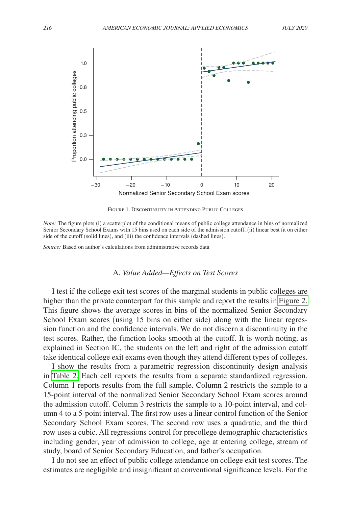<span id="page-9-0"></span>

Figure 1. Discontinuity in Attending Public Colleges

*Note:* The figure plots (i) a scatterplot of the conditional means of public college attendance in bins of normalized Senior Secondary School Exams with 15 bins used on each side of the admission cutoff, (ii) linear best fit on either side of the cutoff (solid lines), and (iii) the confidence intervals (dashed lines).

*Source:* Based on author's calculations from administrative records data

## A. *Value Added—Effects on Test Scores*

I test if the college exit test scores of the marginal students in public colleges are higher than the private counterpart for this sample and report the results in [Figure](#page-10-0) 2. This figure shows the average scores in bins of the normalized Senior Secondary School Exam scores (using 15 bins on either side) along with the linear regression function and the confidence intervals. We do not discern a discontinuity in the test scores. Rather, the function looks smooth at the cutoff. It is worth noting, as explained in Section IC, the students on the left and right of the admission cutoff take identical college exit exams even though they attend different types of colleges.

I show the results from a parametric regression discontinuity design analysis in [Table 2.](#page-11-0) Each cell reports the results from a separate standardized regression. Column 1 reports results from the full sample. Column 2 restricts the sample to a 15-point interval of the normalized Senior Secondary School Exam scores around the admission cutoff. Column 3 restricts the sample to a 10-point interval, and column 4 to a 5-point interval. The first row uses a linear control function of the Senior Secondary School Exam scores. The second row uses a quadratic, and the third row uses a cubic. All regressions control for precollege demographic characteristics including gender, year of admission to college, age at entering college, stream of study, board of Senior Secondary Education, and father's occupation.

I do not see an effect of public college attendance on college exit test scores. The estimates are negligible and insignificant at conventional significance levels. For the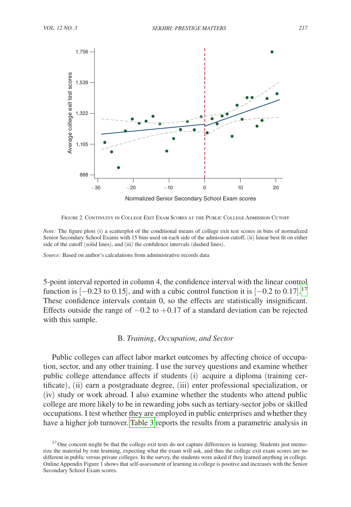<span id="page-10-0"></span>

Figure 2. Continuity in College Exit Exam Scores at the Public College Admission Cutoff

*Note:* The figure plots (i) a scatterplot of the conditional means of college exit test scores in bins of normalized Senior Secondary School Exams with 15 bins used on each side of the admission cutoff, (ii) linear best fit on either side of the cutoff (solid lines), and (iii) the confidence intervals (dashed lines).

*Source:* Based on author's calculations from administrative records data

5-point interval reported in column 4, the confidence interval with the linear control function is  $[-0.23]$  to 0.15], and with a cubic control function it is  $[-0.2]$  to 0.[17](#page-10-1)].<sup>17</sup> These confidence intervals contain 0, so the effects are statistically insignificant. Effects outside the range of  $-0.2$  to  $+0.17$  of a standard deviation can be rejected with this sample.

## B. *Training*, *Occupation*, *and Sector*

Public colleges can affect labor market outcomes by affecting choice of occupation, sector, and any other training. I use the survey questions and examine whether public college attendance affects if students (i) acquire a diploma (training certificate), (ii) earn a postgraduate degree, (iii) enter professional specialization, or (iv) study or work abroad. I also examine whether the students who attend public college are more likely to be in rewarding jobs such as tertiary-sector jobs or skilled occupations. I test whether they are employed in public enterprises and whether they have a higher job turnover. [Table 3](#page-11-0) reports the results from a parametric analysis in

<span id="page-10-1"></span> $17$  One concern might be that the college exit tests do not capture differences in learning. Students just memorize the material by rote learning, expecting what the exam will ask, and thus the college exit exam scores are no different in public versus private colleges. In the survey, the students were asked if they learned anything in college. Online Appendix Figure 1 shows that self-assessment of learning in college is positive and increases with the Senior Secondary School Exam scores.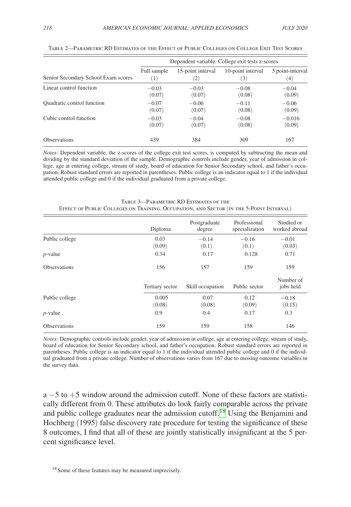<span id="page-11-0"></span>

|                                     | Dependent variable: College exit tests z-scores |                   |                          |                                      |  |
|-------------------------------------|-------------------------------------------------|-------------------|--------------------------|--------------------------------------|--|
| Senior Secondary School Exam scores | Full sample<br>, 1)                             | 15-point interval | 10-point interval<br>(3) | 5 point-interval<br>$\left(4\right)$ |  |
| Linear control function             | $-0.03$<br>(0.07)                               | $-0.03$<br>(0.07) | $-0.08$<br>(0.08)        | $-0.04$<br>(0.09)                    |  |
| Quadratic control function          | $-0.07$<br>(0.07)                               | $-0.06$<br>(0.07) | $-0.11$<br>(0.08)        | $-0.06$<br>(0.09)                    |  |
| Cubic control function              | $-0.03$                                         | $-0.04$           | $-0.08$                  | $-0.016$                             |  |

Observations 439 384 309 167

Table 2—Parametric RD Estimates of the Effect of Public Colleges on College Exit Test Scores

*Notes:* Dependent variable, the z-scores of the college exit test scores, is computed by subtracting the mean and dividing by the standard deviation of the sample. Demographic controls include gender, year of admission in college, age at entering college, stream of study, board of education for Senior Secondary school, and father's occupation. Robust standard errors are reported in parentheses. Public college is an indicator equal to 1 if the individual attended public college and 0 if the individual graduated from a private college.

 $(0.07)$   $(0.07)$   $(0.08)$   $(0.09)$ 

|                     | Diploma         | Postgraduate<br>degree | Professional<br>specialization | Studied or<br>worked abroad |
|---------------------|-----------------|------------------------|--------------------------------|-----------------------------|
| Public college      | 0.03<br>(0.09)  | $-0.14$<br>(0.1)       | $-0.16$<br>(0.1)               | $-0.01$<br>(0.03)           |
| $p$ -value          | 0.34            | 0.17                   | 0.128                          | 0.71                        |
| <b>Observations</b> | 156             | 157                    | 159                            | 159                         |
|                     | Tertiary sector | Skill occupation       | Public sector                  | Number of<br>jobs held      |
| Public college      | 0.005<br>(0.08) | 0.07<br>(0.08)         | 0.12<br>(0.09)                 | $-0.18$<br>(0.15)           |
| $p$ -value          | 0.9             | 0.4                    | 0.17                           | 0.3                         |
| <b>Observations</b> | 159             | 159                    | 158                            | 146                         |

Table 3—Parametric RD Estimates of the Effect of Public Colleges on Training, Occupation, and Sector (in the 5-Point Interval)

*Notes:* Demographic controls include gender, year of admission in college, age at entering college, stream of study, board of education for Senior Secondary school, and father's occupation. Robust standard errors are reported in parentheses. Public college is an indicator equal to 1 if the individual attended public college and 0 if the individual graduated from a private college. Number of observations varies from 167 due to missing outcome variables in the survey data.

<span id="page-11-1"></span>a −5 to +5 window around the admission cutoff. None of these factors are statistically different from 0. These attributes do look fairly comparable across the private and public college graduates near the admission cutoff.<sup>18</sup> Using the Benjamini and Hochberg (1995) false discovery rate procedure for testing the significance of these 8 outcomes, I find that all of these are jointly statistically insignificant at the 5 percent significance level.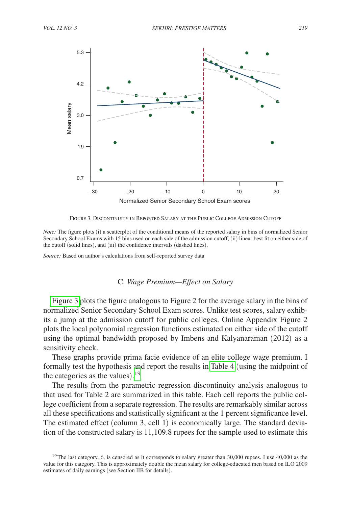

Figure 3. Discontinuity in Reported Salary at the Public College Admission Cutoff

*Note:* The figure plots (i) a scatterplot of the conditional means of the reported salary in bins of normalized Senior Secondary School Exams with 15 bins used on each side of the admission cutoff, (ii) linear best fit on either side of the cutoff (solid lines), and (iii) the confidence intervals (dashed lines).

*Source:* Based on author's calculations from self-reported survey data

## C. *Wage Premium—Effect on Salary*

Figure 3 plots the figure analogous to Figure 2 for the average salary in the bins of normalized Senior Secondary School Exam scores. Unlike test scores, salary exhibits a jump at the admission cutoff for public colleges. Online Appendix Figure 2 plots the local polynomial regression functions estimated on either side of the cutoff using the optimal bandwidth proposed by Imbens and Kalyanaraman (2012) as a sensitivity check.

These graphs provide prima facie evidence of an elite college wage premium. I formally test the hypothesis and report the results in [Table 4](#page-13-0) (using the midpoint of the categories as the values). [19](#page-12-0)

The results from the parametric regression discontinuity analysis analogous to that used for Table 2 are summarized in this table. Each cell reports the public college coefficient from a separate regression. The results are remarkably similar across all these specifications and statistically significant at the 1 percent significance level. The estimated effect (column 3, cell 1) is economically large. The standard deviation of the constructed salary is 11,109.8 rupees for the sample used to estimate this

<span id="page-12-0"></span><sup>&</sup>lt;sup>19</sup>The last category, 6, is censored as it corresponds to salary greater than 30,000 rupees. I use 40,000 as the value for this category. This is approximately double the mean salary for college-educated men based on ILO 2009 estimates of daily earnings (see Section IIB for details).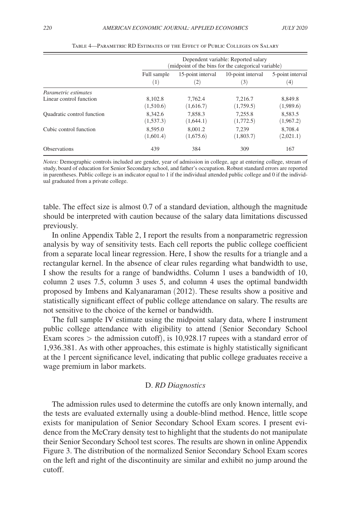<span id="page-13-0"></span>

|                             | Dependent variable: Reported salary<br>midpoint of the bins for the categorical variable) |                   |                   |                  |  |
|-----------------------------|-------------------------------------------------------------------------------------------|-------------------|-------------------|------------------|--|
|                             | Full sample                                                                               | 15-point interval | 10-point interval | 5-point interval |  |
|                             | (1)                                                                                       | (2)               | (3)               | (4)              |  |
| <i>Parametric estimates</i> |                                                                                           |                   |                   |                  |  |
| Linear control function     | 8.102.8                                                                                   | 7.762.4           | 7.216.7           | 8,849.8          |  |
|                             | (1,510.6)                                                                                 | (1,616.7)         | (1,759.5)         | (1,989.6)        |  |
| Quadratic control function  | 8.342.6                                                                                   | 7.858.3           | 7.255.8           | 8.583.5          |  |
|                             | (1,537.3)                                                                                 | (1,644.1)         | (1,772.5)         | (1,967.2)        |  |
| Cubic control function      | 8.595.0                                                                                   | 8.001.2           | 7.239             | 8.708.4          |  |
|                             | (1,601.4)                                                                                 | (1,675.6)         | (1,803.7)         | (2,021.1)        |  |
| <b>Observations</b>         | 439                                                                                       | 384               | 309               | 167              |  |

Table 4—Parametric RD Estimates of the Effect of Public Colleges on Salary

*Notes:* Demographic controls included are gender, year of admission in college, age at entering college, stream of study, board of education for Senior Secondary school, and father's occupation. Robust standard errors are reported in parentheses. Public college is an indicator equal to 1 if the individual attended public college and 0 if the individual graduated from a private college.

table. The effect size is almost 0.7 of a standard deviation, although the magnitude should be interpreted with caution because of the salary data limitations discussed previously.

In online Appendix Table 2, I report the results from a nonparametric regression analysis by way of sensitivity tests. Each cell reports the public college coefficient from a separate local linear regression. Here, I show the results for a triangle and a rectangular kernel. In the absence of clear rules regarding what bandwidth to use, I show the results for a range of bandwidths. Column 1 uses a bandwidth of 10, column 2 uses 7.5, column 3 uses 5, and column 4 uses the optimal bandwidth proposed by Imbens and Kalyanaraman (2012). These results show a positive and statistically significant effect of public college attendance on salary. The results are not sensitive to the choice of the kernel or bandwidth.

The full sample IV estimate using the midpoint salary data, where I instrument public college attendance with eligibility to attend (Senior Secondary School Exam scores  $>$  the admission cutoff), is 10,928.17 rupees with a standard error of 1,936.381. As with other approaches, this estimate is highly statistically significant at the 1 percent significance level, indicating that public college graduates receive a wage premium in labor markets.

#### D. *RD Diagnostics*

The admission rules used to determine the cutoffs are only known internally, and the tests are evaluated externally using a double-blind method. Hence, little scope exists for manipulation of Senior Secondary School Exam scores. I present evidence from the McCrary density test to highlight that the students do not manipulate their Senior Secondary School test scores. The results are shown in online Appendix Figure 3. The distribution of the normalized Senior Secondary School Exam scores on the left and right of the discontinuity are similar and exhibit no jump around the cutoff.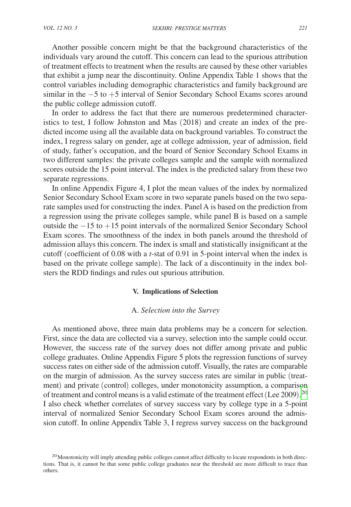Another possible concern might be that the background characteristics of the individuals vary around the cutoff. This concern can lead to the spurious attribution of treatment effects to treatment when the results are caused by these other variables that exhibit a jump near the discontinuity. Online Appendix Table 1 shows that the control variables including demographic characteristics and family background are similar in the −5 to +5 interval of Senior Secondary School Exams scores around the public college admission cutoff.

In order to address the fact that there are numerous predetermined characteristics to test, I follow Johnston and Mas (2018) and create an index of the predicted income using all the available data on background variables. To construct the index, I regress salary on gender, age at college admission, year of admission, field of study, father's occupation, and the board of Senior Secondary School Exams in two different samples: the private colleges sample and the sample with normalized scores outside the 15 point interval. The index is the predicted salary from these two separate regressions.

In online Appendix Figure 4, I plot the mean values of the index by normalized Senior Secondary School Exam score in two separate panels based on the two separate samples used for constructing the index. Panel A is based on the prediction from a regression using the private colleges sample, while panel B is based on a sample outside the −15 to +15 point intervals of the normalized Senior Secondary School Exam scores. The smoothness of the index in both panels around the threshold of admission allays this concern. The index is small and statistically insignificant at the cutoff (coefficient of 0.08 with a *t*-stat of 0.91 in 5-point interval when the index is based on the private college sample). The lack of a discontinuity in the index bolsters the RDD findings and rules out spurious attribution.

#### **V. Implications of Selection**

### A. *Selection into the Survey*

As mentioned above, three main data problems may be a concern for selection. First, since the data are collected via a survey, selection into the sample could occur. However, the success rate of the survey does not differ among private and public college graduates. Online Appendix Figure 5 plots the regression functions of survey success rates on either side of the admission cutoff. Visually, the rates are comparable on the margin of admission. As the survey success rates are similar in public (treatment) and private (control) colleges, under monotonicity assumption, a comparison of treatment and control means is a valid estimate of the treatment effect (Lee 2009). [20](#page-14-0) I also check whether correlates of survey success vary by college type in a 5-point interval of normalized Senior Secondary School Exam scores around the admission cutoff. In online Appendix Table 3, I regress survey success on the background

<span id="page-14-0"></span><sup>&</sup>lt;sup>20</sup>Monotonicity will imply attending public colleges cannot affect difficulty to locate respondents in both directions. That is, it cannot be that some public college graduates near the threshold are more difficult to trace than others.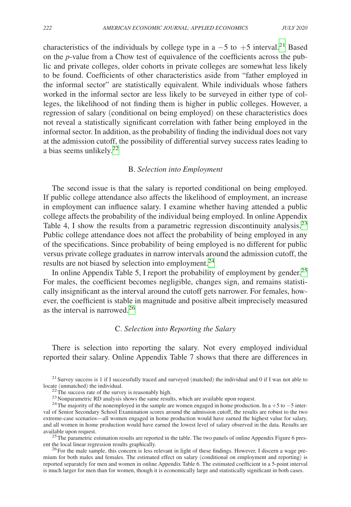characteristics of the individuals by college type in a  $-5$  to  $+5$  interval.<sup>[21](#page-15-0)</sup> Based on the *p*-value from a Chow test of equivalence of the coefficients across the public and private colleges, older cohorts in private colleges are somewhat less likely to be found. Coefficients of other characteristics aside from "father employed in the informal sector" are statistically equivalent. While individuals whose fathers worked in the informal sector are less likely to be surveyed in either type of colleges, the likelihood of not finding them is higher in public colleges. However, a regression of salary (conditional on being employed) on these characteristics does not reveal a statistically significant correlation with father being employed in the informal sector. In addition, as the probability of finding the individual does not vary at the admission cutoff, the possibility of differential survey success rates leading to a bias seems unlikely.[22](#page-15-1)

#### B. *Selection into Employment*

The second issue is that the salary is reported conditional on being employed. If public college attendance also affects the likelihood of employment, an increase in employment can influence salary. I examine whether having attended a public college affects the probability of the individual being employed. In online Appendix Table 4, I show the results from a parametric regression discontinuity analysis.<sup>[23](#page-15-2)</sup> Public college attendance does not affect the probability of being employed in any of the specifications. Since probability of being employed is no different for public versus private college graduates in narrow intervals around the admission cutoff, the results are not biased by selection into employment.<sup>[24](#page-15-3)</sup>

In online Appendix Table 5, I report the probability of employment by gender.<sup>[25](#page-15-4)</sup> For males, the coefficient becomes negligible, changes sign, and remains statistically insignificant as the interval around the cutoff gets narrower. For females, however, the coefficient is stable in magnitude and positive albeit imprecisely measured as the interval is narrowed.<sup>[26](#page-15-5)</sup>

## C. *Selection into Reporting the Salary*

There is selection into reporting the salary. Not every employed individual reported their salary. Online Appendix Table 7 shows that there are differences in

<span id="page-15-0"></span><sup>21</sup> Survey success is 1 if I successfully traced and surveyed (matched) the individual and 0 if I was not able to locate (unmatched) the individual.

<span id="page-15-3"></span>

<span id="page-15-4"></span><sup>25</sup>The parametric estimation results are reported in the table. The two panels of online Appendix Figure 6 present the local linear regression results graphically.

<span id="page-15-5"></span><sup>26</sup>For the male sample, this concern is less relevant in light of these findings. However, I discern a wage premium for both males and females. The estimated effect on salary (conditional on employment and reporting) is reported separately for men and women in online Appendix Table 6. The estimated coefficient in a 5-point interval is much larger for men than for women, though it is economically large and statistically significant in both cases.

<span id="page-15-2"></span><span id="page-15-1"></span>

<sup>&</sup>lt;sup>22</sup>The success rate of the survey is reasonably high.<br><sup>23</sup> Nonparametric RD analysis shows the same results, which are available upon request.<br><sup>24</sup> The majority of the nonemployed in the sample are women engaged in home val of Senior Secondary School Examination scores around the admission cutoff, the results are robust to the two extreme-case scenarios—all women engaged in home production would have earned the highest value for salary, and all women in home production would have earned the lowest level of salary observed in the data. Results are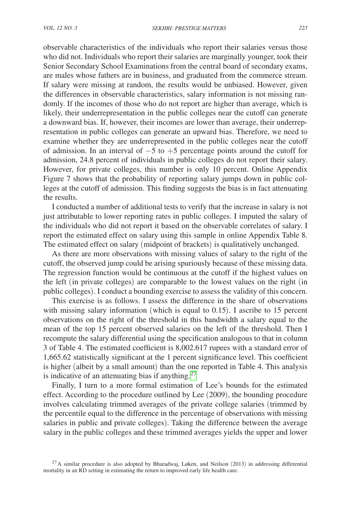observable characteristics of the individuals who report their salaries versus those who did not. Individuals who report their salaries are marginally younger, took their Senior Secondary School Examinations from the central board of secondary exams, are males whose fathers are in business, and graduated from the commerce stream. If salary were missing at random, the results would be unbiased. However, given the differences in observable characteristics, salary information is not missing randomly. If the incomes of those who do not report are higher than average, which is likely, their underrepresentation in the public colleges near the cutoff can generate a downward bias. If, however, their incomes are lower than average, their underrepresentation in public colleges can generate an upward bias. Therefore, we need to examine whether they are underrepresented in the public colleges near the cutoff of admission. In an interval of −5 to +5 percentage points around the cutoff for admission, 24.8 percent of individuals in public colleges do not report their salary. However, for private colleges, this number is only 10 percent. Online Appendix

Figure 7 shows that the probability of reporting salary jumps down in public colleges at the cutoff of admission. This finding suggests the bias is in fact attenuating the results.

I conducted a number of additional tests to verify that the increase in salary is not just attributable to lower reporting rates in public colleges. I imputed the salary of the individuals who did not report it based on the observable correlates of salary. I report the estimated effect on salary using this sample in online Appendix Table 8. The estimated effect on salary (midpoint of brackets) is qualitatively unchanged.

As there are more observations with missing values of salary to the right of the cutoff, the observed jump could be arising spuriously because of these missing data. The regression function would be continuous at the cutoff if the highest values on the left (in private colleges) are comparable to the lowest values on the right (in public colleges). I conduct a bounding exercise to assess the validity of this concern.

This exercise is as follows. I assess the difference in the share of observations with missing salary information (which is equal to 0.15). I ascribe to 15 percent observations on the right of the threshold in this bandwidth a salary equal to the mean of the top 15 percent observed salaries on the left of the threshold. Then I recompute the salary differential using the specification analogous to that in column 3 of Table 4. The estimated coefficient is 8,002.617 rupees with a standard error of 1,665.62 statistically significant at the 1 percent significance level. This coefficient is higher (albeit by a small amount) than the one reported in Table 4. This analysis is indicative of an attenuating bias if anything.<sup>[27](#page-16-0)</sup>

Finally, I turn to a more formal estimation of Lee's bounds for the estimated effect. According to the procedure outlined by Lee (2009), the bounding procedure involves calculating trimmed averages of the private college salaries (trimmed by the percentile equal to the difference in the percentage of observations with missing salaries in public and private colleges). Taking the difference between the average salary in the public colleges and these trimmed averages yields the upper and lower

<span id="page-16-0"></span> $^{27}$ A similar procedure is also adopted by Bharadwaj, Løken, and Neilson (2013) in addressing differential mortality in an RD setting in estimating the return to improved early life health care.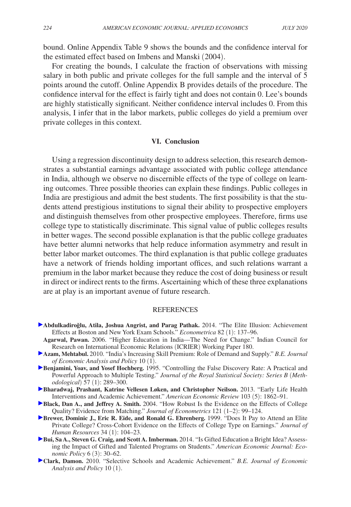bound. Online Appendix Table 9 shows the bounds and the confidence interval for the estimated effect based on Imbens and Manski (2004).

For creating the bounds, I calculate the fraction of observations with missing salary in both public and private colleges for the full sample and the interval of 5 points around the cutoff. Online Appendix B provides details of the procedure. The confidence interval for the effect is fairly tight and does not contain 0. Lee's bounds are highly statistically significant. Neither confidence interval includes 0. From this analysis, I infer that in the labor markets, public colleges do yield a premium over private colleges in this context.

#### **VI. Conclusion**

Using a regression discontinuity design to address selection, this research demonstrates a substantial earnings advantage associated with public college attendance in India, although we observe no discernible effects of the type of college on learning outcomes. Three possible theories can explain these findings. Public colleges in India are prestigious and admit the best students. The first possibility is that the students attend prestigious institutions to signal their ability to prospective employers and distinguish themselves from other prospective employees. Therefore, firms use college type to statistically discriminate. This signal value of public colleges results in better wages. The second possible explanation is that the public college graduates have better alumni networks that help reduce information asymmetry and result in better labor market outcomes. The third explanation is that public college graduates have a network of friends holding important offices, and such relations warrant a premium in the labor market because they reduce the cost of doing business or result in direct or indirect rents to the firms. Ascertaining which of these three explanations are at play is an important avenue of future research.

#### REFERENCES

- **Abdulkadiro˘glu, Atila, Joshua Angrist, and Parag Pathak.** 2014. "The Elite Illusion: Achievement Effects at Boston and New York Exam Schools." *Econometrica* 82 (1): 137–96.
- **Agarwal, Pawan.** 2006. "Higher Education in India—The Need for Change." Indian Council for Research on International Economic Relations (ICRIER) Working Paper 180.
- **Azam, Mehtabul.** 2010. "India's Increasing Skill Premium: Role of Demand and Supply." *B.E. Journal of Economic Analysis and Policy* 10 (1).
- **Benjamini, Yoav, and Yosef Hochberg.** 1995. "Controlling the False Discovery Rate: A Practical and Powerful Approach to Multiple Testing." Journal of the Royal Statistical Society: Series B (Meth*odological*) 57 (1): 289–300.
- **Bharadwaj, Prashant, Katrine Vellesen Løken, and Christopher Neilson.** 2013. "Early Life Health Interventions and Academic Achievement." *American Economic Review* 103 (5): 1862–91.
- **Black, Dan A., and Jeffrey A. Smith.** 2004. "How Robust Is the Evidence on the Effects of College Quality? Evidence from Matching." *Journal of Econometrics* 121 (1–2): 99–124.
- **Brewer, Dominic J., Eric R. Eide, and Ronald G. Ehrenberg.** 1999. "Does It Pay to Attend an Elite Private College? Cross-Cohort Evidence on the Effects of College Type on Earnings." *Journal of Human Resources* 34 (1): 104–23.
- **Bui, Sa A., Steven G. Craig, and Scott A. Imberman.** 2014. "Is Gifted Education a Bright Idea? Assessing the Impact of Gifted and Talented Programs on Students." *American Economic Journal: Economic Policy* 6 (3): 30–62.
- **Clark, Damon.** 2010. "Selective Schools and Academic Achievement." *B.E. Journal of Economic Analysis and Policy* 10 (1).